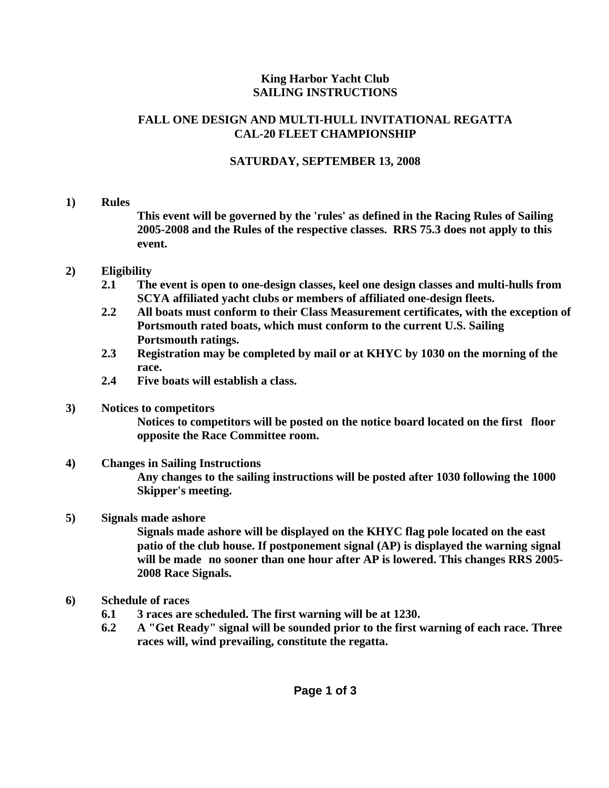## **King Harbor Yacht Club SAILING INSTRUCTIONS**

## **FALL ONE DESIGN AND MULTI-HULL INVITATIONAL REGATTA CAL-20 FLEET CHAMPIONSHIP**

# **SATURDAY, SEPTEMBER 13, 2008**

## **1) Rules**

 **This event will be governed by the 'rules' as defined in the Racing Rules of Sailing 2005-2008 and the Rules of the respective classes. RRS 75.3 does not apply to this event.** 

## **2) Eligibility**

- **2.1 The event is open to one-design classes, keel one design classes and multi-hulls from SCYA affiliated yacht clubs or members of affiliated one-design fleets.**
- **2.2 All boats must conform to their Class Measurement certificates, with the exception of Portsmouth rated boats, which must conform to the current U.S. Sailing Portsmouth ratings.**
- **2.3 Registration may be completed by mail or at KHYC by 1030 on the morning of the race.**
- **2.4 Five boats will establish a class.**

# **3) Notices to competitors**

 **Notices to competitors will be posted on the notice board located on the first floor opposite the Race Committee room.** 

#### **4) Changes in Sailing Instructions Any changes to the sailing instructions will be posted after 1030 following the 1000 Skipper's meeting.**

# **5) Signals made ashore**

 **Signals made ashore will be displayed on the KHYC flag pole located on the east patio of the club house. If postponement signal (AP) is displayed the warning signal will be made no sooner than one hour after AP is lowered. This changes RRS 2005- 2008 Race Signals.** 

- **6) Schedule of races** 
	- **6.1 3 races are scheduled. The first warning will be at 1230.**
	- **6.2 A "Get Ready" signal will be sounded prior to the first warning of each race. Three races will, wind prevailing, constitute the regatta.**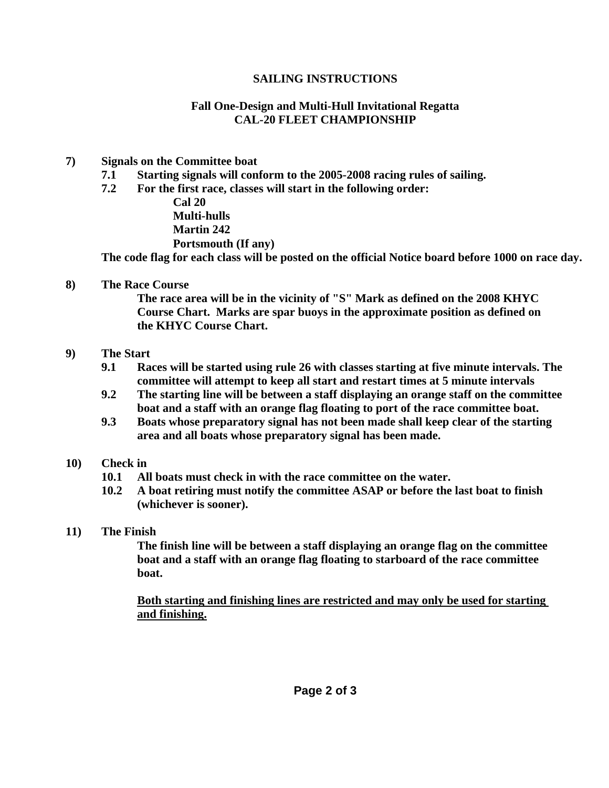#### **SAILING INSTRUCTIONS**

### **Fall One-Design and Multi-Hull Invitational Regatta CAL-20 FLEET CHAMPIONSHIP**

#### **7) Signals on the Committee boat**

- **7.1 Starting signals will conform to the 2005-2008 racing rules of sailing.**
- **7.2 For the first race, classes will start in the following order:**

 **Cal 20 Multi-hulls Martin 242 Portsmouth (If any)** 

 **The code flag for each class will be posted on the official Notice board before 1000 on race day.** 

**8) The Race Course** 

 **The race area will be in the vicinity of "S" Mark as defined on the 2008 KHYC Course Chart. Marks are spar buoys in the approximate position as defined on the KHYC Course Chart.** 

- **9) The Start** 
	- **9.1 Races will be started using rule 26 with classes starting at five minute intervals. The committee will attempt to keep all start and restart times at 5 minute intervals**
	- **9.2 The starting line will be between a staff displaying an orange staff on the committee boat and a staff with an orange flag floating to port of the race committee boat.**
	- **9.3 Boats whose preparatory signal has not been made shall keep clear of the starting area and all boats whose preparatory signal has been made.**
- **10) Check in** 
	- **10.1 All boats must check in with the race committee on the water.**
	- **10.2 A boat retiring must notify the committee ASAP or before the last boat to finish (whichever is sooner).**
- **11) The Finish**

 **The finish line will be between a staff displaying an orange flag on the committee boat and a staff with an orange flag floating to starboard of the race committee boat.** 

 **Both starting and finishing lines are restricted and may only be used for starting and finishing.**